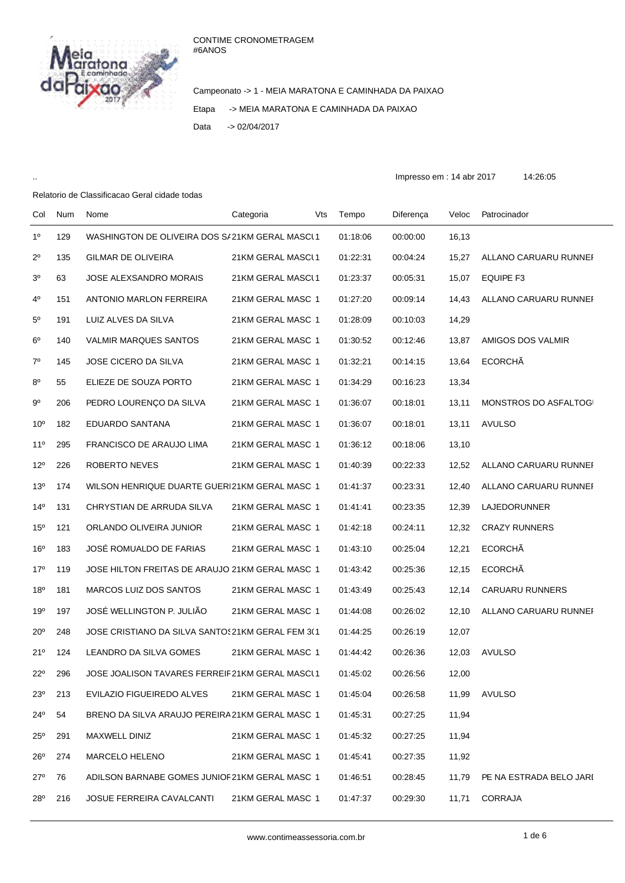## CONTIME CRONOMETRAGEM #6ANOS



Campeonato -> 1 - MEIA MARATONA E CAMINHADA DA PAIXAO Etapa -> MEIA MARATONA E CAMINHADA DA PAIXAO Data -> 02/04/2017

.. Impresso em : 14 abr 2017 14:26:05

## Relatorio de Classificacao Geral cidade todas

| Col             | Num | Nome                                             | Categoria         | Vts | Tempo    | Diferença | Veloc | Patrocinador            |
|-----------------|-----|--------------------------------------------------|-------------------|-----|----------|-----------|-------|-------------------------|
| $1^{\circ}$     | 129 | WASHINGTON DE OLIVEIRA DOS S/21KM GERAL MASCL1   |                   |     | 01:18:06 | 00:00:00  | 16,13 |                         |
| $2^{\circ}$     | 135 | <b>GILMAR DE OLIVEIRA</b>                        | 21KM GERAL MASCL1 |     | 01:22:31 | 00:04:24  | 15,27 | ALLANO CARUARU RUNNEI   |
| $3o$            | 63  | JOSE ALEXSANDRO MORAIS                           | 21KM GERAL MASCL1 |     | 01:23:37 | 00:05:31  | 15,07 | <b>EQUIPE F3</b>        |
| 4 <sup>0</sup>  | 151 | ANTONIO MARLON FERREIRA                          | 21KM GERAL MASC 1 |     | 01:27:20 | 00:09:14  | 14,43 | ALLANO CARUARU RUNNEF   |
| $5^{\circ}$     | 191 | LUIZ ALVES DA SILVA                              | 21KM GERAL MASC 1 |     | 01:28:09 | 00:10:03  | 14,29 |                         |
| $6^{\circ}$     | 140 | <b>VALMIR MARQUES SANTOS</b>                     | 21KM GERAL MASC 1 |     | 01:30:52 | 00:12:46  | 13,87 | AMIGOS DOS VALMIR       |
| $7^{\circ}$     | 145 | JOSE CICERO DA SILVA                             | 21KM GERAL MASC 1 |     | 01:32:21 | 00:14:15  | 13,64 | <b>ECORCHÃ</b>          |
| $8^{\circ}$     | 55  | ELIEZE DE SOUZA PORTO                            | 21KM GERAL MASC 1 |     | 01:34:29 | 00:16:23  | 13,34 |                         |
| $9^{\circ}$     | 206 | PEDRO LOURENÇO DA SILVA                          | 21KM GERAL MASC 1 |     | 01:36:07 | 00:18:01  | 13,11 | MONSTROS DO ASFALTOGI   |
| 10 <sup>o</sup> | 182 | EDUARDO SANTANA                                  | 21KM GERAL MASC 1 |     | 01:36:07 | 00:18:01  | 13,11 | <b>AVULSO</b>           |
| 11 <sup>0</sup> | 295 | FRANCISCO DE ARAUJO LIMA                         | 21KM GERAL MASC 1 |     | 01:36:12 | 00:18:06  | 13,10 |                         |
| $12^{\circ}$    | 226 | ROBERTO NEVES                                    | 21KM GERAL MASC 1 |     | 01:40:39 | 00:22:33  | 12,52 | ALLANO CARUARU RUNNEI   |
| 13 <sup>o</sup> | 174 | WILSON HENRIQUE DUARTE GUERI21KM GERAL MASC 1    |                   |     | 01:41:37 | 00:23:31  | 12,40 | ALLANO CARUARU RUNNEI   |
| $14^{\circ}$    | 131 | CHRYSTIAN DE ARRUDA SILVA                        | 21KM GERAL MASC 1 |     | 01:41:41 | 00:23:35  | 12,39 | LAJEDORUNNER            |
| 15 <sup>o</sup> | 121 | ORLANDO OLIVEIRA JUNIOR                          | 21KM GERAL MASC 1 |     | 01:42:18 | 00:24:11  | 12,32 | <b>CRAZY RUNNERS</b>    |
| 16 <sup>o</sup> | 183 | JOSÉ ROMUALDO DE FARIAS                          | 21KM GERAL MASC 1 |     | 01:43:10 | 00:25:04  | 12,21 | <b>ECORCHÃ</b>          |
| 17 <sup>°</sup> | 119 | JOSE HILTON FREITAS DE ARAUJO 21KM GERAL MASC 1  |                   |     | 01:43:42 | 00:25:36  | 12,15 | <b>ECORCHÃ</b>          |
| 18 <sup>o</sup> | 181 | MARCOS LUIZ DOS SANTOS                           | 21KM GERAL MASC 1 |     | 01:43:49 | 00:25:43  | 12,14 | <b>CARUARU RUNNERS</b>  |
| 19 <sup>o</sup> | 197 | JOSÉ WELLINGTON P. JULIÃO                        | 21KM GERAL MASC 1 |     | 01:44:08 | 00:26:02  | 12,10 | ALLANO CARUARU RUNNEI   |
| $20^{\circ}$    | 248 | JOSE CRISTIANO DA SILVA SANTOS21KM GERAL FEM 3(1 |                   |     | 01:44:25 | 00:26:19  | 12,07 |                         |
| 21°             | 124 | LEANDRO DA SILVA GOMES                           | 21KM GERAL MASC 1 |     | 01:44:42 | 00:26:36  | 12,03 | <b>AVULSO</b>           |
| $22^{\circ}$    | 296 | JOSE JOALISON TAVARES FERREIF21KM GERAL MASCL1   |                   |     | 01:45:02 | 00:26:56  | 12,00 |                         |
| 23°             | 213 | EVILAZIO FIGUEIREDO ALVES                        | 21KM GERAL MASC 1 |     | 01:45:04 | 00:26:58  | 11,99 | <b>AVULSO</b>           |
| 24°             | 54  | BRENO DA SILVA ARAUJO PEREIRA 21KM GERAL MASC 1  |                   |     | 01:45:31 | 00:27:25  | 11,94 |                         |
| $25^{\circ}$    | 291 | MAXWELL DINIZ                                    | 21KM GERAL MASC 1 |     | 01:45:32 | 00:27:25  | 11,94 |                         |
| $26^{\circ}$    | 274 | <b>MARCELO HELENO</b>                            | 21KM GERAL MASC 1 |     | 01:45:41 | 00:27:35  | 11,92 |                         |
| $27^\circ$      | 76  | ADILSON BARNABE GOMES JUNIOF21KM GERAL MASC 1    |                   |     | 01:46:51 | 00:28:45  | 11,79 | PE NA ESTRADA BELO JARI |
| 28°             | 216 | JOSUE FERREIRA CAVALCANTI                        | 21KM GERAL MASC 1 |     | 01:47:37 | 00:29:30  | 11,71 | <b>CORRAJA</b>          |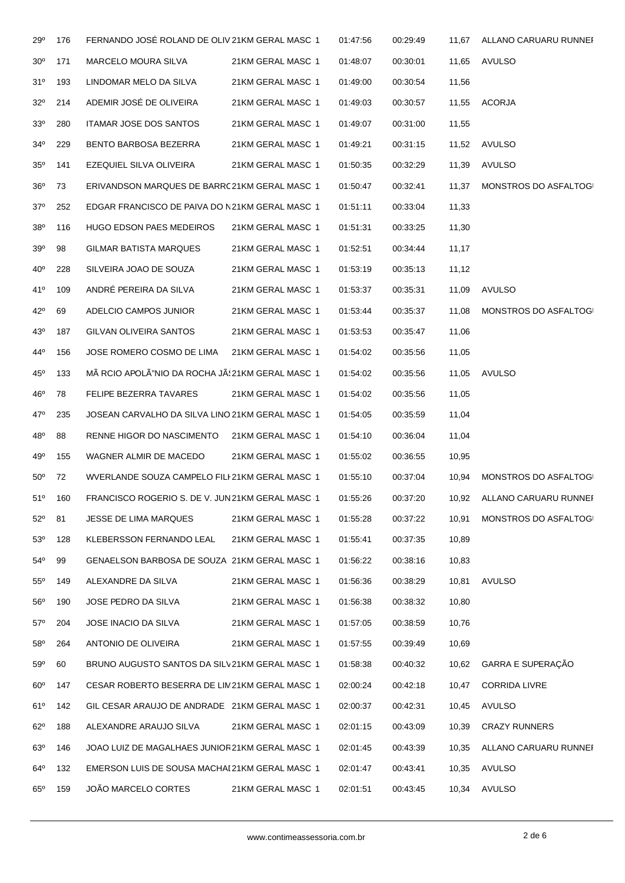| 29°             | 176 | FERNANDO JOSÉ ROLAND DE OLIV 21KM GERAL MASC 1   |                   | 01:47:56 | 00:29:49 | 11,67 | ALLANO CARUARU RUNNEF |
|-----------------|-----|--------------------------------------------------|-------------------|----------|----------|-------|-----------------------|
| 30 <sup>o</sup> | 171 | MARCELO MOURA SILVA                              | 21KM GERAL MASC 1 | 01:48:07 | 00:30:01 | 11,65 | <b>AVULSO</b>         |
| 31°             | 193 | LINDOMAR MELO DA SILVA                           | 21KM GERAL MASC 1 | 01:49:00 | 00:30:54 | 11,56 |                       |
| $32^{\circ}$    | 214 | ADEMIR JOSÉ DE OLIVEIRA                          | 21KM GERAL MASC 1 | 01:49:03 | 00:30:57 | 11.55 | <b>ACORJA</b>         |
| 33 <sup>o</sup> | 280 | ITAMAR JOSE DOS SANTOS                           | 21KM GERAL MASC 1 | 01:49:07 | 00:31:00 | 11,55 |                       |
| 34 <sup>°</sup> | 229 | BENTO BARBOSA BEZERRA                            | 21KM GERAL MASC 1 | 01:49:21 | 00:31:15 | 11,52 | AVULSO                |
| $35^\circ$      | 141 | EZEQUIEL SILVA OLIVEIRA                          | 21KM GERAL MASC 1 | 01:50:35 | 00:32:29 | 11,39 | AVULSO                |
| $36^{\circ}$    | 73  | ERIVANDSON MARQUES DE BARRC21KM GERAL MASC 1     |                   | 01:50:47 | 00:32:41 | 11,37 | MONSTROS DO ASFALTOGI |
| $37^\circ$      | 252 | EDGAR FRANCISCO DE PAIVA DO N21KM GERAL MASC 1   |                   | 01:51:11 | 00:33:04 | 11,33 |                       |
| $38^{\circ}$    | 116 | <b>HUGO EDSON PAES MEDEIROS</b>                  | 21KM GERAL MASC 1 | 01:51:31 | 00:33:25 | 11,30 |                       |
| 39 <sup>o</sup> | 98  | <b>GILMAR BATISTA MARQUES</b>                    | 21KM GERAL MASC 1 | 01:52:51 | 00:34:44 | 11,17 |                       |
| $40^{\circ}$    | 228 | SILVEIRA JOAO DE SOUZA                           | 21KM GERAL MASC 1 | 01:53:19 | 00:35:13 | 11,12 |                       |
| 41°             | 109 | ANDRÉ PEREIRA DA SILVA                           | 21KM GERAL MASC 1 | 01:53:37 | 00:35:31 | 11,09 | AVULSO                |
| $42^{\circ}$    | 69  | ADELCIO CAMPOS JUNIOR                            | 21KM GERAL MASC 1 | 01:53:44 | 00:35:37 | 11,08 | MONSTROS DO ASFALTOGI |
| 43 <sup>°</sup> | 187 | GILVAN OLIVEIRA SANTOS                           | 21KM GERAL MASC 1 | 01:53:53 | 00:35:47 | 11,06 |                       |
| 44°             | 156 | JOSE ROMERO COSMO DE LIMA                        | 21KM GERAL MASC 1 | 01:54:02 | 00:35:56 | 11,05 |                       |
| $45^{\circ}$    | 133 | MÃ RCIO APOLÃ"NIO DA ROCHA JÃS 21KM GERAL MASC 1 |                   | 01:54:02 | 00:35:56 | 11,05 | AVULSO                |
| 46°             | 78  | FELIPE BEZERRA TAVARES                           | 21KM GERAL MASC 1 | 01:54:02 | 00:35:56 | 11,05 |                       |
| 47°             | 235 | JOSEAN CARVALHO DA SILVA LINO 21KM GERAL MASC 1  |                   | 01:54:05 | 00:35:59 | 11,04 |                       |
| 48°             | 88  | RENNE HIGOR DO NASCIMENTO                        | 21KM GERAL MASC 1 | 01:54:10 | 00:36:04 | 11,04 |                       |
| 49°             | 155 | WAGNER ALMIR DE MACEDO                           | 21KM GERAL MASC 1 | 01:55:02 | 00:36:55 | 10,95 |                       |
| $50^\circ$      | 72  | WVERLANDE SOUZA CAMPELO FILI 21KM GERAL MASC 1   |                   | 01:55:10 | 00:37:04 | 10,94 | MONSTROS DO ASFALTOGI |
| 51°             | 160 | FRANCISCO ROGERIO S. DE V. JUN21KM GERAL MASC 1  |                   | 01:55:26 | 00:37:20 | 10,92 | ALLANO CARUARU RUNNEH |
| $52^\circ$      | 81  | JESSE DE LIMA MARQUES                            | 21KM GERAL MASC 1 | 01:55:28 | 00:37:22 | 10,91 | MONSTROS DO ASFALTOGI |
| $53^\circ$      | 128 | KLEBERSSON FERNANDO LEAL                         | 21KM GERAL MASC 1 | 01:55:41 | 00:37:35 | 10,89 |                       |
| $54^{\circ}$    | 99  | GENAELSON BARBOSA DE SOUZA 21KM GERAL MASC 1     |                   | 01:56:22 | 00:38:16 | 10,83 |                       |
| $55^{\circ}$    | 149 | ALEXANDRE DA SILVA                               | 21KM GERAL MASC 1 | 01:56:36 | 00:38:29 | 10,81 | <b>AVULSO</b>         |
| $56^{\circ}$    | 190 | JOSE PEDRO DA SILVA                              | 21KM GERAL MASC 1 | 01:56:38 | 00:38:32 | 10,80 |                       |
| $57^\circ$      | 204 | JOSE INACIO DA SILVA                             | 21KM GERAL MASC 1 | 01:57:05 | 00:38:59 | 10,76 |                       |
| $58^{\circ}$    | 264 | ANTONIO DE OLIVEIRA                              | 21KM GERAL MASC 1 | 01:57:55 | 00:39:49 | 10,69 |                       |
| $59^\circ$      | 60  | BRUNO AUGUSTO SANTOS DA SILV21KM GERAL MASC 1    |                   | 01:58:38 | 00:40:32 | 10,62 | GARRA E SUPERAÇÃO     |
| $60^{\circ}$    | 147 | CESAR ROBERTO BESERRA DE LIM21KM GERAL MASC 1    |                   | 02:00:24 | 00:42:18 | 10,47 | <b>CORRIDA LIVRE</b>  |
| 61°             | 142 | GIL CESAR ARAUJO DE ANDRADE 21KM GERAL MASC 1    |                   | 02:00:37 | 00:42:31 | 10,45 | AVULSO                |
| $62^\circ$      | 188 | ALEXANDRE ARAUJO SILVA                           | 21KM GERAL MASC 1 | 02:01:15 | 00:43:09 | 10,39 | <b>CRAZY RUNNERS</b>  |
| $63^\circ$      | 146 | JOAO LUIZ DE MAGALHAES JUNIOR21KM GERAL MASC 1   |                   | 02:01:45 | 00:43:39 | 10,35 | ALLANO CARUARU RUNNEI |
| $64^{\circ}$    | 132 | EMERSON LUIS DE SOUSA MACHAI 21KM GERAL MASC 1   |                   | 02:01:47 | 00:43:41 | 10,35 | AVULSO                |
| $65^\circ$      | 159 | JOÃO MARCELO CORTES                              | 21KM GERAL MASC 1 | 02:01:51 | 00:43:45 | 10,34 | <b>AVULSO</b>         |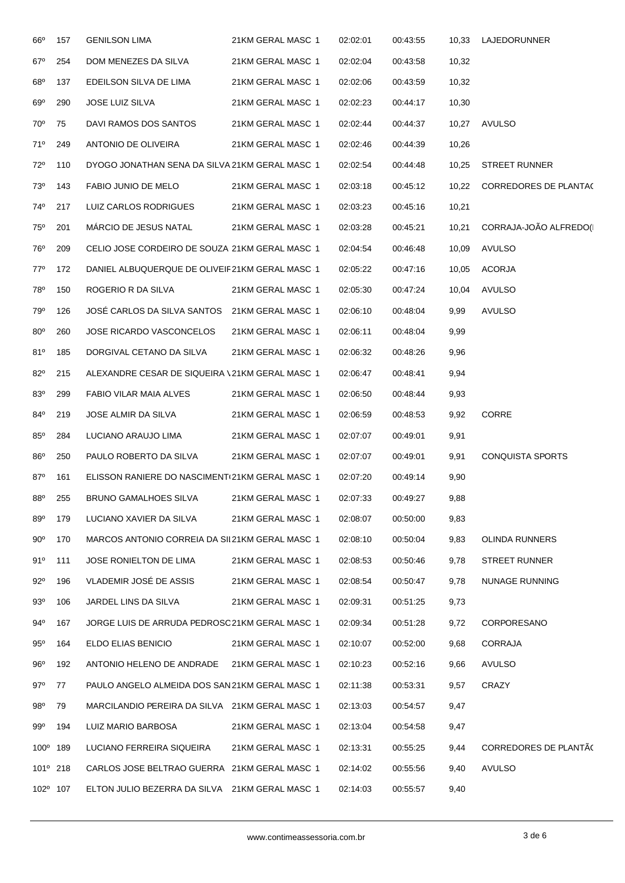| $66^{\circ}$    | 157 | <b>GENILSON LIMA</b>                            | 21KM GERAL MASC 1 | 02:02:01 | 00:43:55 | 10,33 | LAJEDORUNNER                 |
|-----------------|-----|-------------------------------------------------|-------------------|----------|----------|-------|------------------------------|
| $67^\circ$      | 254 | DOM MENEZES DA SILVA                            | 21KM GERAL MASC 1 | 02:02:04 | 00:43:58 | 10,32 |                              |
| 68°             | 137 | EDEILSON SILVA DE LIMA                          | 21KM GERAL MASC 1 | 02:02:06 | 00:43:59 | 10,32 |                              |
| $69^\circ$      | 290 | <b>JOSE LUIZ SILVA</b>                          | 21KM GERAL MASC 1 | 02:02:23 | 00:44:17 | 10,30 |                              |
| $70^{\circ}$    | 75  | DAVI RAMOS DOS SANTOS                           | 21KM GERAL MASC 1 | 02:02:44 | 00:44:37 | 10,27 | AVULSO                       |
| 71°             | 249 | ANTONIO DE OLIVEIRA                             | 21KM GERAL MASC 1 | 02:02:46 | 00:44:39 | 10,26 |                              |
| $72^{\circ}$    | 110 | DYOGO JONATHAN SENA DA SILVA 21KM GERAL MASC 1  |                   | 02:02:54 | 00:44:48 | 10,25 | <b>STREET RUNNER</b>         |
| 73 <sup>o</sup> | 143 | FABIO JUNIO DE MELO                             | 21KM GERAL MASC 1 | 02:03:18 | 00:45:12 | 10,22 | <b>CORREDORES DE PLANTAC</b> |
| 74°             | 217 | LUIZ CARLOS RODRIGUES                           | 21KM GERAL MASC 1 | 02:03:23 | 00:45:16 | 10,21 |                              |
| 75°             | 201 | MÁRCIO DE JESUS NATAL                           | 21KM GERAL MASC 1 | 02:03:28 | 00:45:21 | 10,21 | CORRAJA-JOÃO ALFREDO(I       |
| 76°             | 209 | CELIO JOSE CORDEIRO DE SOUZA 21KM GERAL MASC 1  |                   | 02:04:54 | 00:46:48 | 10,09 | <b>AVULSO</b>                |
| $77^\circ$      | 172 | DANIEL ALBUQUERQUE DE OLIVEIF21KM GERAL MASC 1  |                   | 02:05:22 | 00:47:16 | 10,05 | ACORJA                       |
| 78°             | 150 | ROGERIO R DA SILVA                              | 21KM GERAL MASC 1 | 02:05:30 | 00:47:24 | 10,04 | AVULSO                       |
| 79°             | 126 | JOSE CARLOS DA SILVA SANTOS 21KM GERAL MASC 1   |                   | 02:06:10 | 00:48:04 | 9,99  | <b>AVULSO</b>                |
| 80 <sup>o</sup> | 260 | JOSE RICARDO VASCONCELOS                        | 21KM GERAL MASC 1 | 02:06:11 | 00:48:04 | 9,99  |                              |
| 81°             | 185 | DORGIVAL CETANO DA SILVA                        | 21KM GERAL MASC 1 | 02:06:32 | 00:48:26 | 9,96  |                              |
| 82°             | 215 | ALEXANDRE CESAR DE SIQUEIRA \21KM GERAL MASC 1  |                   | 02:06:47 | 00:48:41 | 9,94  |                              |
| 83°             | 299 | FABIO VILAR MAIA ALVES                          | 21KM GERAL MASC 1 | 02:06:50 | 00:48:44 | 9,93  |                              |
| 84°             | 219 | JOSE ALMIR DA SILVA                             | 21KM GERAL MASC 1 | 02:06:59 | 00:48:53 | 9,92  | CORRE                        |
| $85^\circ$      | 284 | LUCIANO ARAUJO LIMA                             | 21KM GERAL MASC 1 | 02:07:07 | 00:49:01 | 9,91  |                              |
| 86°             | 250 | PAULO ROBERTO DA SILVA                          | 21KM GERAL MASC 1 | 02:07:07 | 00:49:01 | 9,91  | <b>CONQUISTA SPORTS</b>      |
| $87^\circ$      | 161 | ELISSON RANIERE DO NASCIMENT (21KM GERAL MASC 1 |                   | 02:07:20 | 00:49:14 | 9,90  |                              |
| 88 <sup>°</sup> | 255 | <b>BRUNO GAMALHOES SILVA</b>                    | 21KM GERAL MASC 1 | 02:07:33 | 00:49:27 | 9,88  |                              |
| 89°             | 179 | LUCIANO XAVIER DA SILVA                         | 21KM GERAL MASC 1 | 02:08:07 | 00:50:00 | 9,83  |                              |
| $90^{\circ}$    | 170 | MARCOS ANTONIO CORREIA DA SIL21KM GERAL MASC 1  |                   | 02:08:10 | 00:50:04 | 9,83  | <b>OLINDA RUNNERS</b>        |
| 91°             | 111 | JOSE RONIELTON DE LIMA                          | 21KM GERAL MASC 1 | 02:08:53 | 00:50:46 | 9,78  | <b>STREET RUNNER</b>         |
| $92^{\circ}$    | 196 | VLADEMIR JOSÉ DE ASSIS                          | 21KM GERAL MASC 1 | 02:08:54 | 00:50:47 | 9,78  | NUNAGE RUNNING               |
| 93°             | 106 | JARDEL LINS DA SILVA                            | 21KM GERAL MASC 1 | 02:09:31 | 00:51:25 | 9,73  |                              |
| 94°             | 167 | JORGE LUIS DE ARRUDA PEDROSO21KM GERAL MASC 1   |                   | 02:09:34 | 00:51:28 | 9,72  | <b>CORPORESANO</b>           |
| $95^\circ$      | 164 | ELDO ELIAS BENICIO                              | 21KM GERAL MASC 1 | 02:10:07 | 00:52:00 | 9,68  | CORRAJA                      |
| 96°             | 192 | ANTONIO HELENO DE ANDRADE                       | 21KM GERAL MASC 1 | 02:10:23 | 00:52:16 | 9,66  | <b>AVULSO</b>                |
| $97^\circ$      | 77  | PAULO ANGELO ALMEIDA DOS SAN 21KM GERAL MASC 1  |                   | 02:11:38 | 00:53:31 | 9,57  | CRAZY                        |
| $98^{\circ}$    | 79  | MARCILANDIO PEREIRA DA SILVA 21KM GERAL MASC 1  |                   | 02:13:03 | 00:54:57 | 9,47  |                              |
| 99°             | 194 | LUIZ MARIO BARBOSA                              | 21KM GERAL MASC 1 | 02:13:04 | 00:54:58 | 9,47  |                              |
| $100^\circ$     | 189 | LUCIANO FERREIRA SIQUEIRA                       | 21KM GERAL MASC 1 | 02:13:31 | 00:55:25 | 9,44  | <b>CORREDORES DE PLANTAC</b> |
| 101°            | 218 | CARLOS JOSE BELTRAO GUERRA 21KM GERAL MASC 1    |                   | 02:14:02 | 00:55:56 | 9,40  | AVULSO                       |
| 102º 107        |     | ELTON JULIO BEZERRA DA SILVA 21KM GERAL MASC 1  |                   | 02:14:03 | 00:55:57 | 9,40  |                              |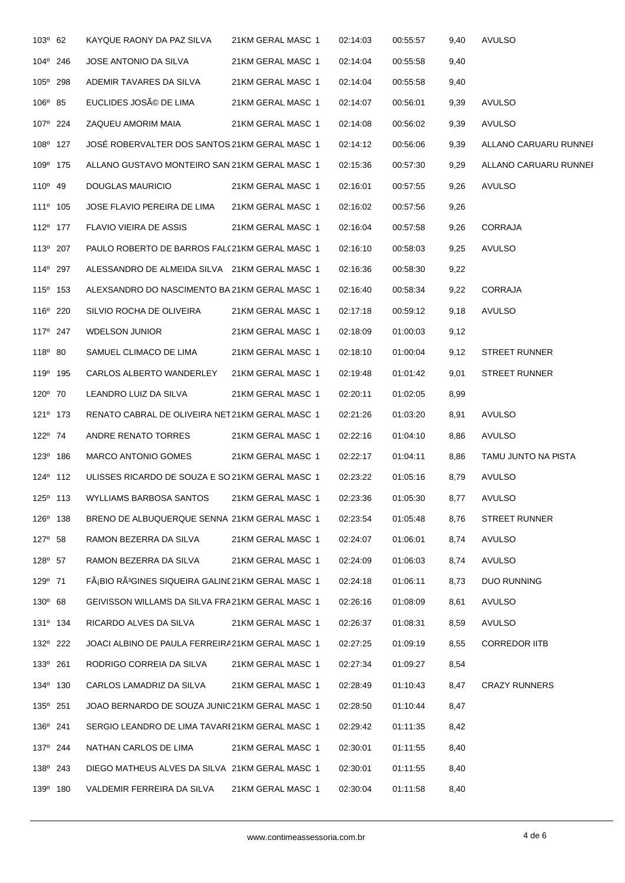| $103^{\circ}$ 62     | KAYQUE RAONY DA PAZ SILVA                                    | 21KM GERAL MASC 1 | 02:14:03 | 00:55:57 | 9,40 | <b>AVULSO</b>         |
|----------------------|--------------------------------------------------------------|-------------------|----------|----------|------|-----------------------|
| 104° 246             | JOSE ANTONIO DA SILVA                                        | 21KM GERAL MASC 1 | 02:14:04 | 00:55:58 | 9,40 |                       |
| 105° 298             | ADEMIR TAVARES DA SILVA                                      | 21KM GERAL MASC 1 | 02:14:04 | 00:55:58 | 9,40 |                       |
| $106^{\circ}$ 85     | EUCLIDES JOSÃO DE LIMA                                       | 21KM GERAL MASC 1 | 02:14:07 | 00:56:01 | 9,39 | AVULSO                |
| 107 <sup>°</sup> 224 | ZAQUEU AMORIM MAIA                                           | 21KM GERAL MASC 1 | 02:14:08 | 00:56:02 | 9,39 | <b>AVULSO</b>         |
| 108 <sup>°</sup> 127 | JOSÉ ROBERVALTER DOS SANTOS 21KM GERAL MASC 1                |                   | 02:14:12 | 00:56:06 | 9,39 | ALLANO CARUARU RUNNEF |
| 109 <sup>°</sup> 175 | ALLANO GUSTAVO MONTEIRO SAN 21KM GERAL MASC 1                |                   | 02:15:36 | 00:57:30 | 9,29 | ALLANO CARUARU RUNNEI |
| $110^{\circ}$ 49     | DOUGLAS MAURICIO                                             | 21KM GERAL MASC 1 | 02:16:01 | 00:57:55 | 9,26 | <b>AVULSO</b>         |
| 111 <sup>°</sup> 105 | JOSE FLAVIO PEREIRA DE LIMA                                  | 21KM GERAL MASC 1 | 02:16:02 | 00:57:56 | 9,26 |                       |
| 112 <sup>o</sup> 177 | FLAVIO VIEIRA DE ASSIS                                       | 21KM GERAL MASC 1 | 02:16:04 | 00:57:58 | 9,26 | <b>CORRAJA</b>        |
| 113º 207             | PAULO ROBERTO DE BARROS FALC21KM GERAL MASC 1                |                   | 02:16:10 | 00:58:03 | 9,25 | AVULSO                |
| 114 <sup>°</sup> 297 | ALESSANDRO DE ALMEIDA SILVA 21KM GERAL MASC 1                |                   | 02:16:36 | 00:58:30 | 9,22 |                       |
| 115 <sup>°</sup> 153 | ALEXSANDRO DO NASCIMENTO BA 21KM GERAL MASC 1                |                   | 02:16:40 | 00:58:34 | 9,22 | <b>CORRAJA</b>        |
| 116° 220             | SILVIO ROCHA DE OLIVEIRA                                     | 21KM GERAL MASC 1 | 02:17:18 | 00:59:12 | 9,18 | <b>AVULSO</b>         |
| 117 <sup>°</sup> 247 | <b>WDELSON JUNIOR</b>                                        | 21KM GERAL MASC 1 | 02:18:09 | 01:00:03 | 9,12 |                       |
| $118^{\circ}$ 80     | SAMUEL CLIMACO DE LIMA                                       | 21KM GERAL MASC 1 | 02:18:10 | 01:00:04 | 9,12 | <b>STREET RUNNER</b>  |
| 119 <sup>°</sup> 195 | CARLOS ALBERTO WANDERLEY                                     | 21KM GERAL MASC 1 | 02:19:48 | 01:01:42 | 9,01 | <b>STREET RUNNER</b>  |
| $120^{\circ}$ 70     | LEANDRO LUIZ DA SILVA                                        | 21KM GERAL MASC 1 | 02:20:11 | 01:02:05 | 8,99 |                       |
| 121 <sup>°</sup> 173 | RENATO CABRAL DE OLIVEIRA NET21KM GERAL MASC-1               |                   | 02:21:26 | 01:03:20 | 8,91 | AVULSO                |
| 122° 74              | ANDRE RENATO TORRES                                          | 21KM GERAL MASC 1 | 02:22:16 | 01:04:10 | 8,86 | AVULSO                |
| 123 <sup>°</sup> 186 | <b>MARCO ANTONIO GOMES</b>                                   | 21KM GERAL MASC 1 | 02:22:17 | 01:04:11 | 8,86 | TAMU JUNTO NA PISTA   |
| 124° 112             | ULISSES RICARDO DE SOUZA E SO 21KM GERAL MASC 1              |                   | 02:23:22 | 01:05:16 | 8,79 | <b>AVULSO</b>         |
| 125° 113             | WYLLIAMS BARBOSA SANTOS                                      | 21KM GERAL MASC 1 | 02:23:36 | 01:05:30 | 8,77 | <b>AVULSO</b>         |
| 126 <sup>°</sup> 138 | BRENO DE ALBUQUERQUE SENNA 21KM GERAL MASC 1                 |                   | 02:23:54 | 01:05:48 | 8,76 | <b>STREET RUNNER</b>  |
| $127^{\circ}$ 58     | RAMON BEZERRA DA SILVA                                       | 21KM GERAL MASC 1 | 02:24:07 | 01:06:01 | 8,74 | AVULSO                |
| 128° 57              | RAMON BEZERRA DA SILVA                                       | 21KM GERAL MASC 1 | 02:24:09 | 01:06:03 | 8,74 | AVULSO                |
| 129º 71              | FáBIO RÃ <sup>3</sup> GINES SIQUEIRA GALINE21KM GERAL MASC 1 |                   | 02:24:18 | 01:06:11 | 8,73 | <b>DUO RUNNING</b>    |
| $130^{\circ}$ 68     | GEIVISSON WILLAMS DA SILVA FRA21KM GERAL MASC 1              |                   | 02:26:16 | 01:08:09 | 8,61 | AVULSO                |
| 131 <sup>°</sup> 134 | RICARDO ALVES DA SILVA                                       | 21KM GERAL MASC 1 | 02:26:37 | 01:08:31 | 8,59 | AVULSO                |
| 132 <sup>°</sup> 222 | JOACI ALBINO DE PAULA FERREIRA21KM GERAL MASC 1              |                   | 02:27:25 | 01:09:19 | 8,55 | <b>CORREDOR IITB</b>  |
| 133º 261             | RODRIGO CORREIA DA SILVA                                     | 21KM GERAL MASC 1 | 02:27:34 | 01:09:27 | 8,54 |                       |
| 134 <sup>°</sup> 130 | CARLOS LAMADRIZ DA SILVA                                     | 21KM GERAL MASC 1 | 02:28:49 | 01:10:43 | 8,47 | <b>CRAZY RUNNERS</b>  |
| 135° 251             | JOAO BERNARDO DE SOUZA JUNIC21KM GERAL MASC 1                |                   | 02:28:50 | 01:10:44 | 8,47 |                       |
| 136 <sup>°</sup> 241 | SERGIO LEANDRO DE LIMA TAVARE21KM GERAL MASC 1               |                   | 02:29:42 | 01:11:35 | 8,42 |                       |
| 137 <sup>°</sup> 244 | NATHAN CARLOS DE LIMA                                        | 21KM GERAL MASC 1 | 02:30:01 | 01:11:55 | 8,40 |                       |
| 138º 243             | DIEGO MATHEUS ALVES DA SILVA 21KM GERAL MASC 1               |                   | 02:30:01 | 01:11:55 | 8,40 |                       |
| 139º 180             | VALDEMIR FERREIRA DA SILVA                                   | 21KM GERAL MASC 1 | 02:30:04 | 01:11:58 | 8,40 |                       |
|                      |                                                              |                   |          |          |      |                       |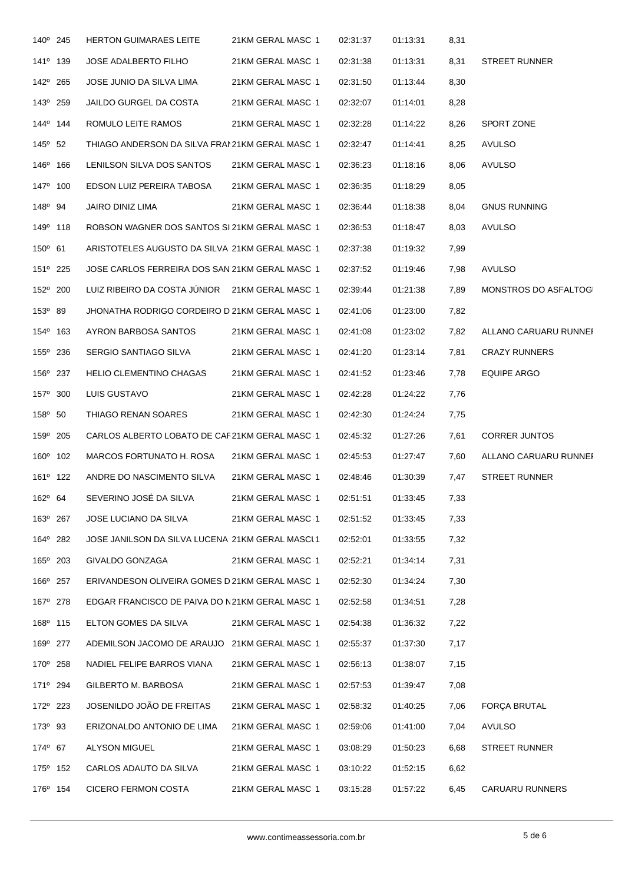| 140° 245             | <b>HERTON GUIMARAES LEITE</b>                   | 21KM GERAL MASC 1 | 02:31:37 | 01:13:31 | 8,31 |                       |
|----------------------|-------------------------------------------------|-------------------|----------|----------|------|-----------------------|
| 141 <sup>°</sup> 139 | <b>JOSE ADALBERTO FILHO</b>                     | 21KM GERAL MASC 1 | 02:31:38 | 01:13:31 | 8,31 | <b>STREET RUNNER</b>  |
| 142 <sup>°</sup> 265 | JOSE JUNIO DA SILVA LIMA                        | 21KM GERAL MASC 1 | 02:31:50 | 01:13:44 | 8,30 |                       |
| 143 <sup>°</sup> 259 | <b>JAILDO GURGEL DA COSTA</b>                   | 21KM GERAL MASC 1 | 02:32:07 | 01:14:01 | 8,28 |                       |
| 144 <sup>°</sup> 144 | ROMULO LEITE RAMOS                              | 21KM GERAL MASC 1 | 02:32:28 | 01:14:22 | 8,26 | SPORT ZONE            |
| $145^{\circ}$ 52     | THIAGO ANDERSON DA SILVA FRAM21KM GERAL MASC 1  |                   | 02:32:47 | 01:14:41 | 8,25 | <b>AVULSO</b>         |
| 146 <sup>°</sup> 166 | LENILSON SILVA DOS SANTOS                       | 21KM GERAL MASC 1 | 02:36:23 | 01:18:16 | 8,06 | <b>AVULSO</b>         |
| 147 <sup>°</sup> 100 | EDSON LUIZ PEREIRA TABOSA                       | 21KM GERAL MASC 1 | 02:36:35 | 01:18:29 | 8,05 |                       |
| 148 <sup>°</sup> 94  | JAIRO DINIZ LIMA                                | 21KM GERAL MASC 1 | 02:36:44 | 01:18:38 | 8,04 | <b>GNUS RUNNING</b>   |
| 149 <sup>°</sup> 118 | ROBSON WAGNER DOS SANTOS SI 21KM GERAL MASC 1   |                   | 02:36:53 | 01:18:47 | 8,03 | <b>AVULSO</b>         |
| $150^{\circ}$ 61     | ARISTOTELES AUGUSTO DA SILVA 21KM GERAL MASC 1  |                   | 02:37:38 | 01:19:32 | 7,99 |                       |
| $151^{\circ}$ 225    | JOSE CARLOS FERREIRA DOS SAN 21KM GERAL MASC 1  |                   | 02:37:52 | 01:19:46 | 7,98 | AVULSO                |
| 152° 200             | LUIZ RIBEIRO DA COSTA JÚNIOR                    | 21KM GERAL MASC 1 | 02:39:44 | 01:21:38 | 7,89 | MONSTROS DO ASFALTOGI |
| 153 <sup>°</sup> 89  | JHONATHA RODRIGO CORDEIRO DI21KM GERAL MASC 1   |                   | 02:41:06 | 01:23:00 | 7,82 |                       |
| 154 <sup>°</sup> 163 | AYRON BARBOSA SANTOS                            | 21KM GERAL MASC 1 | 02:41:08 | 01:23:02 | 7,82 | ALLANO CARUARU RUNNEF |
| 155 <sup>°</sup> 236 | SERGIO SANTIAGO SILVA                           | 21KM GERAL MASC 1 | 02:41:20 | 01:23:14 | 7,81 | <b>CRAZY RUNNERS</b>  |
| 156° 237             | <b>HELIO CLEMENTINO CHAGAS</b>                  | 21KM GERAL MASC 1 | 02:41:52 | 01:23:46 | 7,78 | <b>EQUIPE ARGO</b>    |
| 157° 300             | LUIS GUSTAVO                                    | 21KM GERAL MASC 1 | 02:42:28 | 01:24:22 | 7,76 |                       |
| 158 <sup>°</sup> 50  | THIAGO RENAN SOARES                             | 21KM GERAL MASC 1 | 02:42:30 | 01:24:24 | 7,75 |                       |
| 159° 205             | CARLOS ALBERTO LOBATO DE CAF21KM GERAL MASC 1   |                   | 02:45:32 | 01:27:26 | 7,61 | <b>CORRER JUNTOS</b>  |
| 160° 102             | MARCOS FORTUNATO H. ROSA                        | 21KM GERAL MASC 1 | 02:45:53 | 01:27:47 | 7,60 | ALLANO CARUARU RUNNEF |
| 161 <sup>°</sup> 122 | ANDRE DO NASCIMENTO SILVA                       | 21KM GERAL MASC 1 | 02:48:46 | 01:30:39 | 7,47 | <b>STREET RUNNER</b>  |
| $162^{\circ}$ 64     | SEVERINO JOSÉ DA SILVA                          | 21KM GERAL MASC 1 | 02:51:51 | 01:33:45 | 7,33 |                       |
| 163º 267             | JOSE LUCIANO DA SILVA                           | 21KM GERAL MASC 1 | 02:51:52 | 01:33:45 | 7,33 |                       |
| 164 <sup>°</sup> 282 | JOSE JANILSON DA SILVA LUCENA 21KM GERAL MASCU1 |                   | 02:52:01 | 01:33:55 | 7,32 |                       |
| 165° 203             | GIVALDO GONZAGA                                 | 21KM GERAL MASC 1 | 02:52:21 | 01:34:14 | 7,31 |                       |
| 166 <sup>°</sup> 257 | ERIVANDESON OLIVEIRA GOMES D 21KM GERAL MASC 1  |                   | 02:52:30 | 01:34:24 | 7,30 |                       |
| 167 <sup>°</sup> 278 | EDGAR FRANCISCO DE PAIVA DO N21KM GERAL MASC 1  |                   | 02:52:58 | 01:34:51 | 7,28 |                       |
| 168 <sup>°</sup> 115 | ELTON GOMES DA SILVA                            | 21KM GERAL MASC 1 | 02:54:38 | 01:36:32 | 7,22 |                       |
| 169º 277             | ADEMILSON JACOMO DE ARAUJO 21KM GERAL MASC 1    |                   | 02:55:37 | 01:37:30 | 7,17 |                       |
| 170° 258             | NADIEL FELIPE BARROS VIANA                      | 21KM GERAL MASC 1 | 02:56:13 | 01:38:07 | 7,15 |                       |
| 171 <sup>°</sup> 294 | GILBERTO M. BARBOSA                             | 21KM GERAL MASC 1 | 02:57:53 | 01:39:47 | 7,08 |                       |
| 172 <sup>0</sup> 223 | JOSENILDO JOÃO DE FREITAS                       | 21KM GERAL MASC 1 | 02:58:32 | 01:40:25 | 7,06 | <b>FORÇA BRUTAL</b>   |
| 173 <sup>°</sup> 93  | ERIZONALDO ANTONIO DE LIMA                      | 21KM GERAL MASC 1 | 02:59:06 | 01:41:00 | 7,04 | AVULSO                |
| 174 <sup>°</sup> 67  | ALYSON MIGUEL                                   | 21KM GERAL MASC 1 | 03:08:29 | 01:50:23 | 6,68 | <b>STREET RUNNER</b>  |
| 175 <sup>°</sup> 152 | CARLOS ADAUTO DA SILVA                          | 21KM GERAL MASC 1 | 03:10:22 | 01:52:15 | 6,62 |                       |
| 176 <sup>°</sup> 154 | CICERO FERMON COSTA                             | 21KM GERAL MASC 1 | 03:15:28 | 01:57:22 | 6,45 | CARUARU RUNNERS       |
|                      |                                                 |                   |          |          |      |                       |